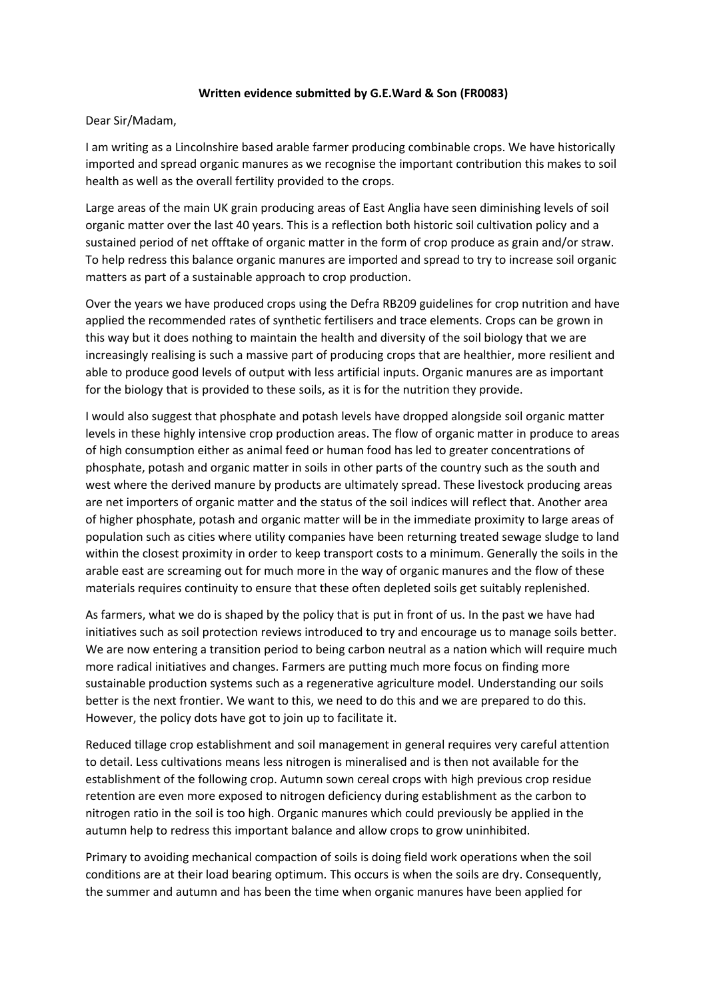## **Written evidence submitted by G.E.Ward & Son (FR0083)**

## Dear Sir/Madam,

I am writing as a Lincolnshire based arable farmer producing combinable crops. We have historically imported and spread organic manures as we recognise the important contribution this makes to soil health as well as the overall fertility provided to the crops.

Large areas of the main UK grain producing areas of East Anglia have seen diminishing levels of soil organic matter over the last 40 years. This is a reflection both historic soil cultivation policy and a sustained period of net offtake of organic matter in the form of crop produce as grain and/or straw. To help redress this balance organic manures are imported and spread to try to increase soil organic matters as part of a sustainable approach to crop production.

Over the years we have produced crops using the Defra RB209 guidelines for crop nutrition and have applied the recommended rates of synthetic fertilisers and trace elements. Crops can be grown in this way but it does nothing to maintain the health and diversity of the soil biology that we are increasingly realising is such a massive part of producing crops that are healthier, more resilient and able to produce good levels of output with less artificial inputs. Organic manures are as important for the biology that is provided to these soils, as it is for the nutrition they provide.

I would also suggest that phosphate and potash levels have dropped alongside soil organic matter levels in these highly intensive crop production areas. The flow of organic matter in produce to areas of high consumption either as animal feed or human food has led to greater concentrations of phosphate, potash and organic matter in soils in other parts of the country such as the south and west where the derived manure by products are ultimately spread. These livestock producing areas are net importers of organic matter and the status of the soil indices will reflect that. Another area of higher phosphate, potash and organic matter will be in the immediate proximity to large areas of population such as cities where utility companies have been returning treated sewage sludge to land within the closest proximity in order to keep transport costs to a minimum. Generally the soils in the arable east are screaming out for much more in the way of organic manures and the flow of these materials requires continuity to ensure that these often depleted soils get suitably replenished.

As farmers, what we do is shaped by the policy that is put in front of us. In the past we have had initiatives such as soil protection reviews introduced to try and encourage us to manage soils better. We are now entering a transition period to being carbon neutral as a nation which will require much more radical initiatives and changes. Farmers are putting much more focus on finding more sustainable production systems such as a regenerative agriculture model. Understanding our soils better is the next frontier. We want to this, we need to do this and we are prepared to do this. However, the policy dots have got to join up to facilitate it.

Reduced tillage crop establishment and soil management in general requires very careful attention to detail. Less cultivations means less nitrogen is mineralised and is then not available for the establishment of the following crop. Autumn sown cereal crops with high previous crop residue retention are even more exposed to nitrogen deficiency during establishment as the carbon to nitrogen ratio in the soil is too high. Organic manures which could previously be applied in the autumn help to redress this important balance and allow crops to grow uninhibited.

Primary to avoiding mechanical compaction of soils is doing field work operations when the soil conditions are at their load bearing optimum. This occurs is when the soils are dry. Consequently, the summer and autumn and has been the time when organic manures have been applied for